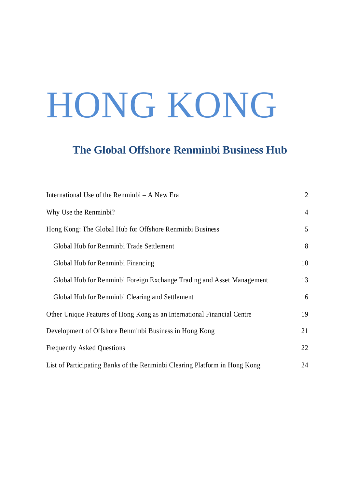# HONG KONG

#### **The Global Offshore Renminbi Business Hub**

| International Use of the Renminbi – A New Era                              | $\overline{c}$ |
|----------------------------------------------------------------------------|----------------|
| Why Use the Renminbi?                                                      | 4              |
| Hong Kong: The Global Hub for Offshore Renminbi Business                   | 5              |
| Global Hub for Renminbi Trade Settlement                                   | 8              |
| Global Hub for Renminbi Financing                                          | 10             |
| Global Hub for Renminbi Foreign Exchange Trading and Asset Management      | 13             |
| Global Hub for Renminbi Clearing and Settlement                            | 16             |
| Other Unique Features of Hong Kong as an International Financial Centre    | 19             |
| Development of Offshore Renminbi Business in Hong Kong                     | 21             |
| <b>Frequently Asked Questions</b>                                          | 22             |
| List of Participating Banks of the Renminbi Clearing Platform in Hong Kong | 24             |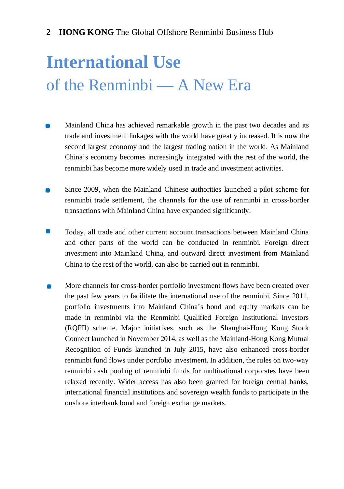## **International Use** of the Renminbi — A New Era

- Mainland China has achieved remarkable growth in the past two decades and its trade and investment linkages with the world have greatly increased. It is now the second largest economy and the largest trading nation in the world. As Mainland China's economy becomes increasingly integrated with the rest of the world, the renminbi has become more widely used in trade and investment activities.
- Since 2009, when the Mainland Chinese authorities launched a pilot scheme for renminbi trade settlement, the channels for the use of renminbi in cross-border transactions with Mainland China have expanded significantly.
- D Today, all trade and other current account transactions between Mainland China and other parts of the world can be conducted in renminbi. Foreign direct investment into Mainland China, and outward direct investment from Mainland China to the rest of the world, can also be carried out in renminbi.
- More channels for cross-border portfolio investment flows have been created over  $\blacksquare$ the past few years to facilitate the international use of the renminbi. Since 2011, portfolio investments into Mainland China's bond and equity markets can be made in renminbi via the Renminbi Qualified Foreign Institutional Investors (RQFII) scheme. Major initiatives, such as the Shanghai-Hong Kong Stock Connect launched in November 2014, as well as the Mainland-Hong Kong Mutual Recognition of Funds launched in July 2015, have also enhanced cross-border renminbi fund flows under portfolio investment. In addition, the rules on two-way renminbi cash pooling of renminbi funds for multinational corporates have been relaxed recently. Wider access has also been granted for foreign central banks, international financial institutions and sovereign wealth funds to participate in the onshore interbank bond and foreign exchange markets.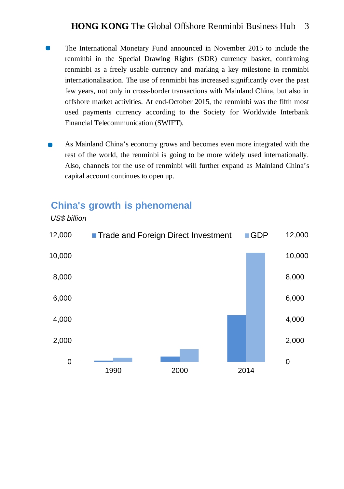- The International Monetary Fund announced in November 2015 to include the renminbi in the Special Drawing Rights (SDR) currency basket, confirming renminbi as a freely usable currency and marking a key milestone in renminbi internationalisation. The use of renminbi has increased significantly over the past few years, not only in cross-border transactions with Mainland China, but also in offshore market activities. At end-October 2015, the renminbi was the fifth most used payments currency according to the Society for Worldwide Interbank Financial Telecommunication (SWIFT).
- As Mainland China's economy grows and becomes even more integrated with the rest of the world, the renminbi is going to be more widely used internationally. Also, channels for the use of renminbi will further expand as Mainland China's capital account continues to open up.

#### **China's growth is phenomenal**



*US\$ billion*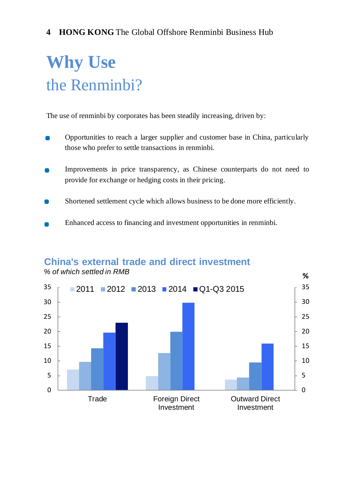## **Why Use**  the Renminbi?

The use of renminbi by corporates has been steadily increasing, driven by:

- Opportunities to reach a larger supplier and customer base in China, particularly those who prefer to settle transactions in renminbi.
- Improvements in price transparency, as Chinese counterparts do not need to provide for exchange or hedging costs in their pricing.
- $\blacksquare$ Shortened settlement cycle which allows business to be done more efficiently.
- Enhanced access to financing and investment opportunities in renminbi.



#### **China's external trade and direct investment**

**%** *% of which settled in RMB*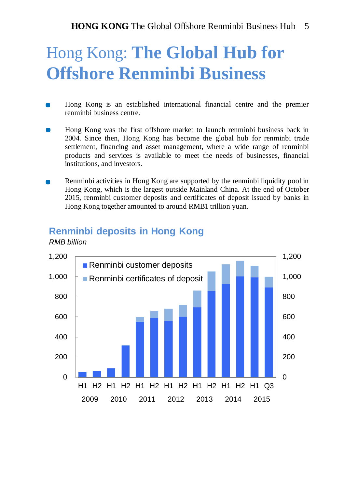### Hong Kong: **The Global Hub for Offshore Renminbi Business**

- Hong Kong is an established international financial centre and the premier renminbi business centre.
- Hong Kong was the first offshore market to launch renminbi business back in  $\blacksquare$ 2004. Since then, Hong Kong has become the global hub for renminbi trade settlement, financing and asset management, where a wide range of renminbi products and services is available to meet the needs of businesses, financial institutions, and investors.
- Renminbi activities in Hong Kong are supported by the renminbi liquidity pool in Hong Kong, which is the largest outside Mainland China. At the end of October 2015, renminbi customer deposits and certificates of deposit issued by banks in Hong Kong together amounted to around RMB1 trillion yuan.

#### **Renminbi deposits in Hong Kong**



#### *RMB billion*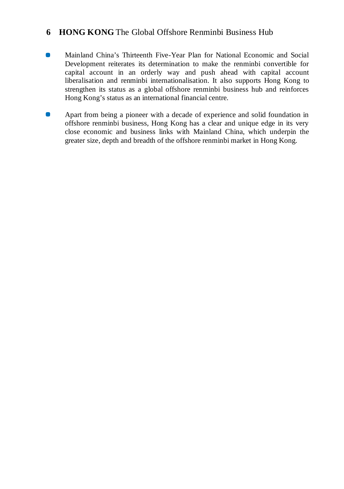- $\blacksquare$ Mainland China's Thirteenth Five-Year Plan for National Economic and Social Development reiterates its determination to make the renminbi convertible for capital account in an orderly way and push ahead with capital account liberalisation and renminbi internationalisation. It also supports Hong Kong to strengthen its status as a global offshore renminbi business hub and reinforces Hong Kong's status as an international financial centre.
- $\bullet$ Apart from being a pioneer with a decade of experience and solid foundation in offshore renminbi business, Hong Kong has a clear and unique edge in its very close economic and business links with Mainland China, which underpin the greater size, depth and breadth of the offshore renminbi market in Hong Kong.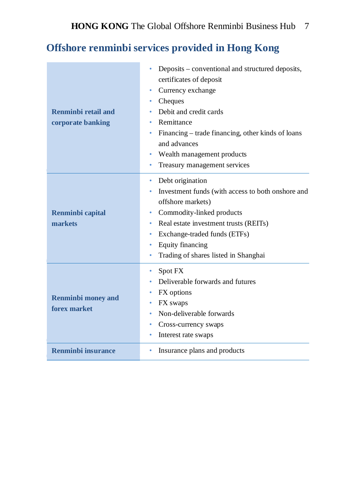#### **Offshore renminbi services provided in Hong Kong**

| Renminbi retail and<br>corporate banking  | Deposits – conventional and structured deposits,<br>certificates of deposit<br>Currency exchange<br>Cheques<br>۰<br>Debit and credit cards<br>Remittance<br>Financing – trade financing, other kinds of loans<br>and advances<br>Wealth management products<br>Treasury management services<br>۰ |
|-------------------------------------------|--------------------------------------------------------------------------------------------------------------------------------------------------------------------------------------------------------------------------------------------------------------------------------------------------|
| Renminbi capital<br>markets               | Debt origination<br>۰<br>Investment funds (with access to both onshore and<br>offshore markets)<br>Commodity-linked products<br>Real estate investment trusts (REITs)<br>۰<br>Exchange-traded funds (ETFs)<br>Equity financing<br>۰<br>Trading of shares listed in Shanghai<br>٠                 |
| <b>Renminbi money and</b><br>forex market | Spot FX<br>۰<br>Deliverable forwards and futures<br>FX options<br>۰<br>FX swaps<br>۰<br>Non-deliverable forwards<br>Cross-currency swaps<br>Interest rate swaps<br>۰                                                                                                                             |
| <b>Renminbi insurance</b>                 | Insurance plans and products<br>۰                                                                                                                                                                                                                                                                |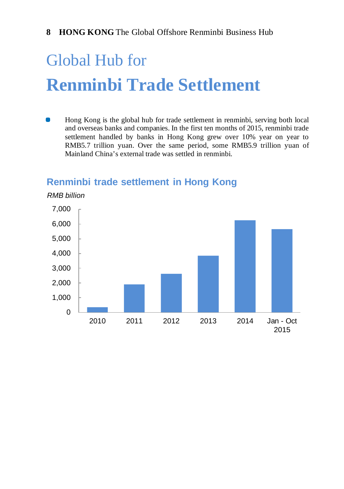## Global Hub for **Renminbi Trade Settlement**

Hong Kong is the global hub for trade settlement in renminbi, serving both local and overseas banks and companies. In the first ten months of 2015, renminbi trade settlement handled by banks in Hong Kong grew over 10% year on year to RMB5.7 trillion yuan. Over the same period, some RMB5.9 trillion yuan of Mainland China's external trade was settled in renminbi.

#### **Renminbi trade settlement in Hong Kong**



*RMB billion*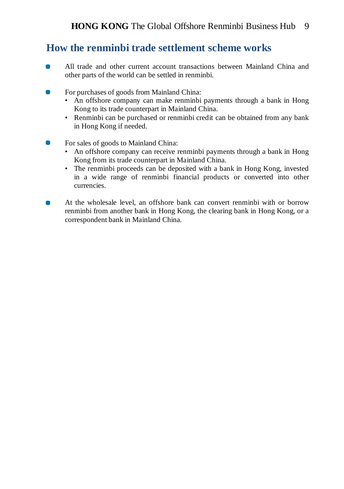#### **How the renminbi trade settlement scheme works**

- All trade and other current account transactions between Mainland China and n other parts of the world can be settled in renminbi.
- For purchases of goods from Mainland China: n
	- An offshore company can make renminbi payments through a bank in Hong Kong to its trade counterpart in Mainland China.
	- Renminbi can be purchased or renminbi credit can be obtained from any bank in Hong Kong if needed.
- For sales of goods to Mainland China:  $\blacksquare$ 
	- An offshore company can receive renminbi payments through a bank in Hong Kong from its trade counterpart in Mainland China.
	- The renminbi proceeds can be deposited with a bank in Hong Kong, invested in a wide range of renminbi financial products or converted into other currencies.
- At the wholesale level, an offshore bank can convert renminbi with or borrow n. renminbi from another bank in Hong Kong, the clearing bank in Hong Kong, or a correspondent bank in Mainland China.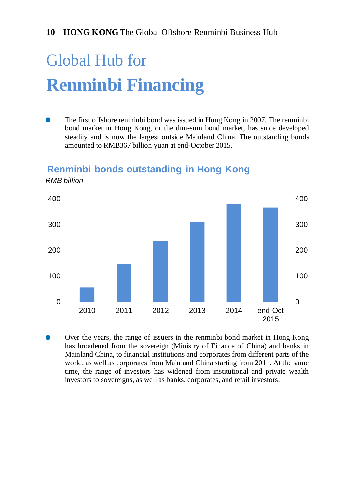## Global Hub for **Renminbi Financing**

The first offshore renminbi bond was issued in Hong Kong in 2007. The renminbi bond market in Hong Kong, or the dim-sum bond market, has since developed steadily and is now the largest outside Mainland China. The outstanding bonds amounted to RMB367 billion yuan at end-October 2015.

#### **Renminbi bonds outstanding in Hong Kong**



*RMB billion*

Over the years, the range of issuers in the renminbi bond market in Hong Kong has broadened from the sovereign (Ministry of Finance of China) and banks in Mainland China, to financial institutions and corporates from different parts of the world, as well as corporates from Mainland China starting from 2011. At the same time, the range of investors has widened from institutional and private wealth investors to sovereigns, as well as banks, corporates, and retail investors.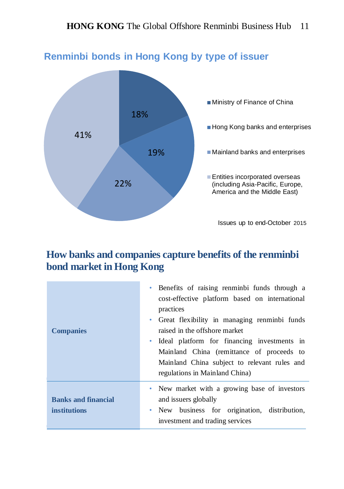

#### **How banks and companies capture benefits of the renminbi bond market in Hong Kong**

| <b>Companies</b>                           | • Benefits of raising renminbi funds through a<br>cost-effective platform based on international<br>practices<br>Great flexibility in managing renminbi funds<br>۰<br>raised in the offshore market<br>• Ideal platform for financing investments in<br>Mainland China (remittance of proceeds to<br>Mainland China subject to relevant rules and<br>regulations in Mainland China) |
|--------------------------------------------|-------------------------------------------------------------------------------------------------------------------------------------------------------------------------------------------------------------------------------------------------------------------------------------------------------------------------------------------------------------------------------------|
| <b>Banks and financial</b><br>institutions | • New market with a growing base of investors<br>and issuers globally<br>• New business for origination, distribution,<br>investment and trading services                                                                                                                                                                                                                           |

#### **Renminbi bonds in Hong Kong by type of issuer**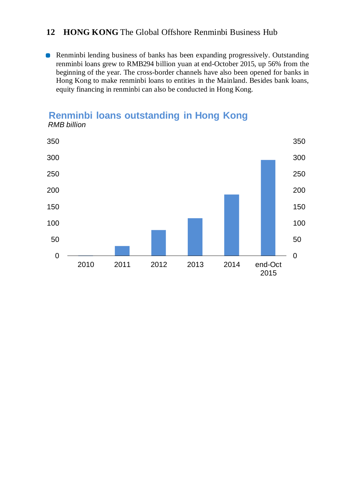**•** Renminbi lending business of banks has been expanding progressively. Outstanding renminbi loans grew to RMB294 billion yuan at end-October 2015, up 56% from the beginning of the year. The cross-border channels have also been opened for banks in Hong Kong to make renminbi loans to entities in the Mainland. Besides bank loans, equity financing in renminbi can also be conducted in Hong Kong.

#### *RMB billion* **Renminbi loans outstanding in Hong Kong**

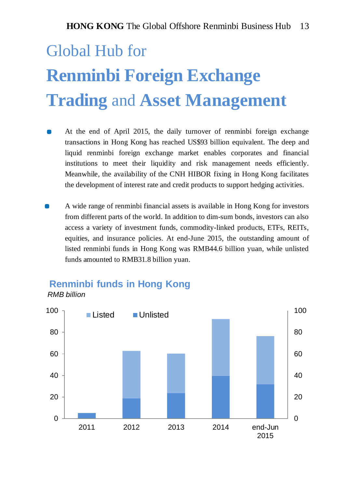## Global Hub for **Renminbi Foreign Exchange Trading** and **Asset Management**

- At the end of April 2015, the daily turnover of renminbi foreign exchange transactions in Hong Kong has reached US\$93 billion equivalent. The deep and liquid renminbi foreign exchange market enables corporates and financial institutions to meet their liquidity and risk management needs efficiently. Meanwhile, the availability of the CNH HIBOR fixing in Hong Kong facilitates the development of interest rate and credit products to support hedging activities.
- A wide range of renminbi financial assets is available in Hong Kong for investors from different parts of the world. In addition to dim-sum bonds, investors can also access a variety of investment funds, commodity-linked products, ETFs, REITs, equities, and insurance policies. At end-June 2015, the outstanding amount of listed renminbi funds in Hong Kong was RMB44.6 billion yuan, while unlisted funds amounted to RMB31.8 billion yuan.

#### *RMB billion* **Renminbi funds in Hong Kong**

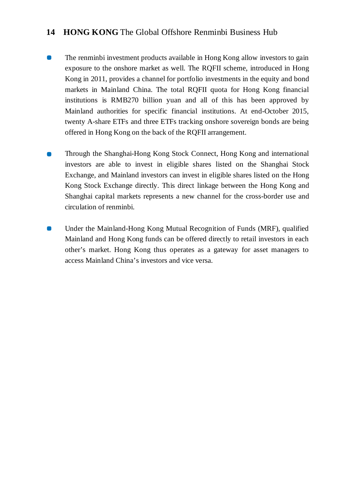- The renminbi investment products available in Hong Kong allow investors to gain  $\blacksquare$ exposure to the onshore market as well. The RQFII scheme, introduced in Hong Kong in 2011, provides a channel for portfolio investments in the equity and bond markets in Mainland China. The total RQFII quota for Hong Kong financial institutions is RMB270 billion yuan and all of this has been approved by Mainland authorities for specific financial institutions. At end-October 2015, twenty A-share ETFs and three ETFs tracking onshore sovereign bonds are being offered in Hong Kong on the back of the RQFII arrangement.
- Through the Shanghai-Hong Kong Stock Connect, Hong Kong and international  $\blacksquare$ investors are able to invest in eligible shares listed on the Shanghai Stock Exchange, and Mainland investors can invest in eligible shares listed on the Hong Kong Stock Exchange directly. This direct linkage between the Hong Kong and Shanghai capital markets represents a new channel for the cross-border use and circulation of renminbi.
- Under the Mainland-Hong Kong Mutual Recognition of Funds (MRF), qualified  $\blacksquare$ Mainland and Hong Kong funds can be offered directly to retail investors in each other's market. Hong Kong thus operates as a gateway for asset managers to access Mainland China's investors and vice versa.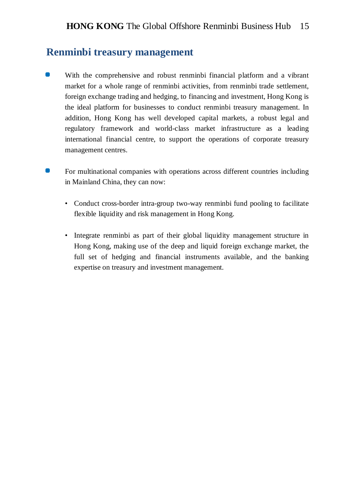#### **Renminbi treasury management**

- $\bullet$ With the comprehensive and robust renminbi financial platform and a vibrant market for a whole range of renminbi activities, from renminbi trade settlement, foreign exchange trading and hedging, to financing and investment, Hong Kong is the ideal platform for businesses to conduct renminbi treasury management. In addition, Hong Kong has well developed capital markets, a robust legal and regulatory framework and world-class market infrastructure as a leading international financial centre, to support the operations of corporate treasury management centres.
- For multinational companies with operations across different countries including in Mainland China, they can now:
	- Conduct cross-border intra-group two-way renminbi fund pooling to facilitate flexible liquidity and risk management in Hong Kong.
	- Integrate renminbi as part of their global liquidity management structure in Hong Kong, making use of the deep and liquid foreign exchange market, the full set of hedging and financial instruments available, and the banking expertise on treasury and investment management.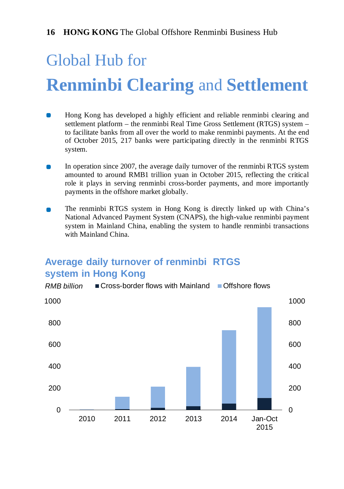## Global Hub for **Renminbi Clearing** and **Settlement**

- Hong Kong has developed a highly efficient and reliable renminbi clearing and settlement platform – the renminbi Real Time Gross Settlement (RTGS) system – to facilitate banks from all over the world to make renminbi payments. At the end of October 2015, 217 banks were participating directly in the renminbi RTGS system.
- In operation since 2007, the average daily turnover of the renminbi RTGS system amounted to around RMB1 trillion yuan in October 2015, reflecting the critical role it plays in serving renminbi cross-border payments, and more importantly payments in the offshore market globally.
- The renminbi RTGS system in Hong Kong is directly linked up with China's National Advanced Payment System (CNAPS), the high-value renminbi payment system in Mainland China, enabling the system to handle renminbi transactions with Mainland China.

#### **Average daily turnover of renminbi RTGS system in Hong Kong**

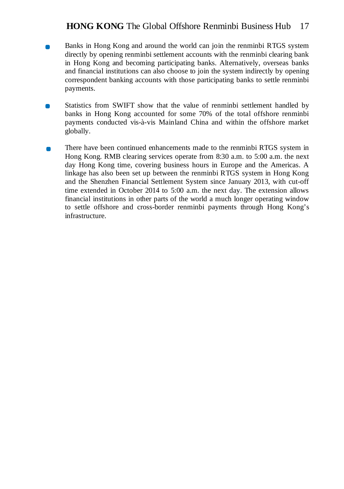- Banks in Hong Kong and around the world can join the renminbi RTGS system ń. directly by opening renminbi settlement accounts with the renminbi clearing bank in Hong Kong and becoming participating banks. Alternatively, overseas banks and financial institutions can also choose to join the system indirectly by opening correspondent banking accounts with those participating banks to settle renminbi payments.
- Statistics from SWIFT show that the value of renminbi settlement handled by  $\blacksquare$ banks in Hong Kong accounted for some 70% of the total offshore renminbi payments conducted vis-à-vis Mainland China and within the offshore market globally.
- There have been continued enhancements made to the renminbi RTGS system in  $\blacksquare$ Hong Kong. RMB clearing services operate from 8:30 a.m. to 5:00 a.m. the next day Hong Kong time, covering business hours in Europe and the Americas. A linkage has also been set up between the renminbi RTGS system in Hong Kong and the Shenzhen Financial Settlement System since January 2013, with cut-off time extended in October 2014 to 5:00 a.m. the next day. The extension allows financial institutions in other parts of the world a much longer operating window to settle offshore and cross-border renminbi payments through Hong Kong's infrastructure.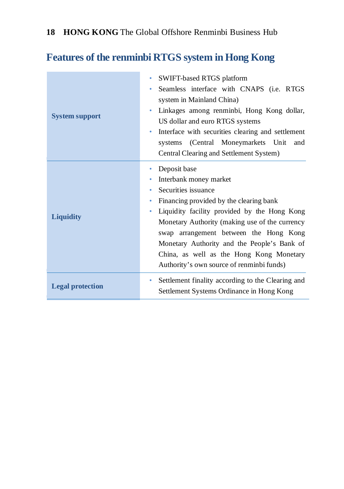#### **Features of the renminbi RTGS system in Hong Kong**

| <b>System support</b>   | SWIFT-based RTGS platform<br>۰<br>Seamless interface with CNAPS (i.e. RTGS<br>۰<br>system in Mainland China)<br>Linkages among renminbi, Hong Kong dollar,<br>US dollar and euro RTGS systems<br>Interface with securities clearing and settlement<br>systems (Central Moneymarkets Unit<br>and<br>Central Clearing and Settlement System)                                                             |
|-------------------------|--------------------------------------------------------------------------------------------------------------------------------------------------------------------------------------------------------------------------------------------------------------------------------------------------------------------------------------------------------------------------------------------------------|
| <b>Liquidity</b>        | Deposit base<br>Interbank money market<br>Securities issuance<br>Financing provided by the clearing bank<br>۰<br>Liquidity facility provided by the Hong Kong<br>۰<br>Monetary Authority (making use of the currency<br>swap arrangement between the Hong Kong<br>Monetary Authority and the People's Bank of<br>China, as well as the Hong Kong Monetary<br>Authority's own source of renminbi funds) |
| <b>Legal protection</b> | Settlement finality according to the Clearing and<br>۰<br>Settlement Systems Ordinance in Hong Kong                                                                                                                                                                                                                                                                                                    |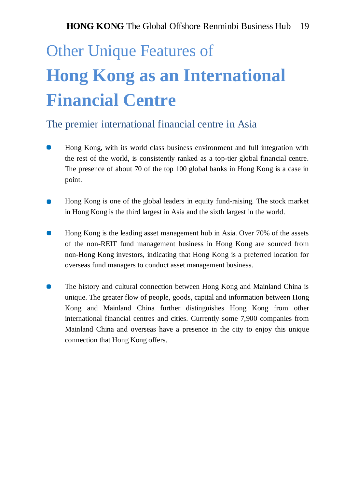## Other Unique Features of **Hong Kong as an International Financial Centre**

#### The premier international financial centre in Asia

- **Hong Kong, with its world class business environment and full integration with** the rest of the world, is consistently ranked as a top-tier global financial centre. The presence of about 70 of the top 100 global banks in Hong Kong is a case in point.
- $\blacksquare$ Hong Kong is one of the global leaders in equity fund-raising. The stock market in Hong Kong is the third largest in Asia and the sixth largest in the world.
- Hong Kong is the leading asset management hub in Asia. Over 70% of the assets  $\blacksquare$ of the non-REIT fund management business in Hong Kong are sourced from non-Hong Kong investors, indicating that Hong Kong is a preferred location for overseas fund managers to conduct asset management business.
- $\bullet$ The history and cultural connection between Hong Kong and Mainland China is unique. The greater flow of people, goods, capital and information between Hong Kong and Mainland China further distinguishes Hong Kong from other international financial centres and cities. Currently some 7,900 companies from Mainland China and overseas have a presence in the city to enjoy this unique connection that Hong Kong offers.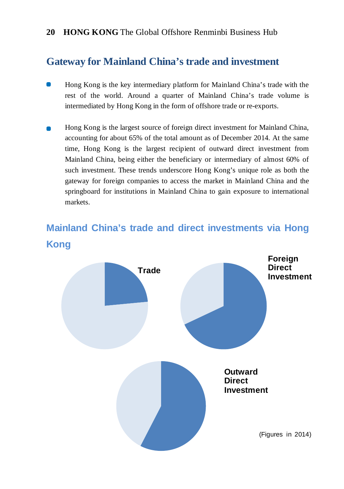#### **Gateway for Mainland China's trade and investment**

- **Hong Kong is the key intermediary platform for Mainland China's trade with the** rest of the world. Around a quarter of Mainland China's trade volume is intermediated by Hong Kong in the form of offshore trade or re-exports.
- Hong Kong is the largest source of foreign direct investment for Mainland China, accounting for about 65% of the total amount as of December 2014. At the same time, Hong Kong is the largest recipient of outward direct investment from Mainland China, being either the beneficiary or intermediary of almost 60% of such investment. These trends underscore Hong Kong's unique role as both the gateway for foreign companies to access the market in Mainland China and the springboard for institutions in Mainland China to gain exposure to international markets.

#### **Mainland China's trade and direct investments via Hong Kong**

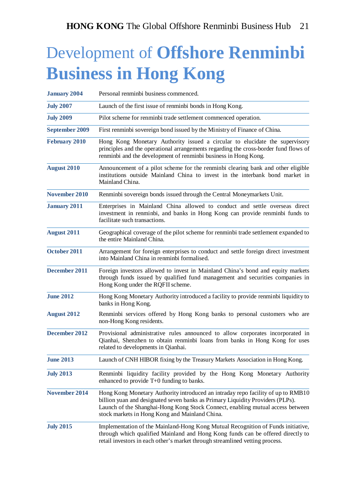## Development of **Offshore Renminbi Business in Hong Kong**

| <b>January 2004</b>  | Personal renminbi business commenced.                                                                                                                                                                                                                                                                  |
|----------------------|--------------------------------------------------------------------------------------------------------------------------------------------------------------------------------------------------------------------------------------------------------------------------------------------------------|
| <b>July 2007</b>     | Launch of the first issue of renminbi bonds in Hong Kong.                                                                                                                                                                                                                                              |
| <b>July 2009</b>     | Pilot scheme for renminbi trade settlement commenced operation.                                                                                                                                                                                                                                        |
| September 2009       | First renminbi sovereign bond issued by the Ministry of Finance of China.                                                                                                                                                                                                                              |
| February 2010        | Hong Kong Monetary Authority issued a circular to elucidate the supervisory<br>principles and the operational arrangements regarding the cross-border fund flows of<br>renminbi and the development of renminbi business in Hong Kong.                                                                 |
| <b>August 2010</b>   | Announcement of a pilot scheme for the renminbi clearing bank and other eligible<br>institutions outside Mainland China to invest in the interbank bond market in<br>Mainland China.                                                                                                                   |
| November 2010        | Renminbi sovereign bonds issued through the Central Moneymarkets Unit.                                                                                                                                                                                                                                 |
| <b>January 2011</b>  | Enterprises in Mainland China allowed to conduct and settle overseas direct<br>investment in renminbi, and banks in Hong Kong can provide renminbi funds to<br>facilitate such transactions.                                                                                                           |
| <b>August 2011</b>   | Geographical coverage of the pilot scheme for renminbi trade settlement expanded to<br>the entire Mainland China.                                                                                                                                                                                      |
| October 2011         | Arrangement for foreign enterprises to conduct and settle foreign direct investment<br>into Mainland China in renminbi formalised.                                                                                                                                                                     |
| December 2011        | Foreign investors allowed to invest in Mainland China's bond and equity markets<br>through funds issued by qualified fund management and securities companies in<br>Hong Kong under the RQFII scheme.                                                                                                  |
| <b>June 2012</b>     | Hong Kong Monetary Authority introduced a facility to provide renminbi liquidity to<br>banks in Hong Kong.                                                                                                                                                                                             |
| <b>August 2012</b>   | Renminbi services offered by Hong Kong banks to personal customers who are<br>non-Hong Kong residents.                                                                                                                                                                                                 |
| December 2012        | Provisional administrative rules announced to allow corporates incorporated in<br>Qianhai, Shenzhen to obtain renminbi loans from banks in Hong Kong for uses<br>related to developments in Qianhai.                                                                                                   |
| <b>June 2013</b>     | Launch of CNH HIBOR fixing by the Treasury Markets Association in Hong Kong.                                                                                                                                                                                                                           |
| <b>July 2013</b>     | Renminbi liquidity facility provided by the Hong Kong Monetary Authority<br>enhanced to provide T+0 funding to banks.                                                                                                                                                                                  |
| <b>November 2014</b> | Hong Kong Monetary Authority introduced an intraday repo facility of up to RMB10<br>billion yuan and designated seven banks as Primary Liquidity Providers (PLPs).<br>Launch of the Shanghai-Hong Kong Stock Connect, enabling mutual access between<br>stock markets in Hong Kong and Mainland China. |
| <b>July 2015</b>     | Implementation of the Mainland-Hong Kong Mutual Recognition of Funds initiative,<br>through which qualified Mainland and Hong Kong funds can be offered directly to<br>retail investors in each other's market through streamlined vetting process.                                                    |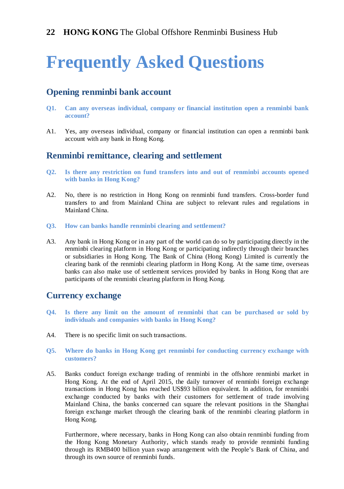## **Frequently Asked Questions**

#### **Opening renminbi bank account**

- **Q1. Can any overseas individual, company or financial institution open a renminbi bank account?**
- A1. Yes, any overseas individual, company or financial institution can open a renminbi bank account with any bank in Hong Kong.

#### **Renminbi remittance, clearing and settlement**

- **Q2. Is there any restriction on fund transfers into and out of renminbi accounts opened with banks in Hong Kong?**
- A2. No, there is no restriction in Hong Kong on renminbi fund transfers. Cross-border fund transfers to and from Mainland China are subject to relevant rules and regulations in Mainland China.
- **Q3. How can banks handle renminbi clearing and settlement?**
- A3. Any bank in Hong Kong or in any part of the world can do so by participating directly in the renminbi clearing platform in Hong Kong or participating indirectly through their branches or subsidiaries in Hong Kong. The Bank of China (Hong Kong) Limited is currently the clearing bank of the renminbi clearing platform in Hong Kong. At the same time, overseas banks can also make use of settlement services provided by banks in Hong Kong that are participants of the renminbi clearing platform in Hong Kong.

#### **Currency exchange**

- **Q4. Is there any limit on the amount of renminbi that can be purchased or sold by individuals and companies with banks in Hong Kong?**
- A4. There is no specific limit on such transactions.
- **Q5. Where do banks in Hong Kong get renminbi for conducting currency exchange with customers?**
- A5. Banks conduct foreign exchange trading of renminbi in the offshore renminbi market in Hong Kong. At the end of April 2015, the daily turnover of renminbi foreign exchange transactions in Hong Kong has reached US\$93 billion equivalent. In addition, for renminbi exchange conducted by banks with their customers for settlement of trade involving Mainland China, the banks concerned can square the relevant positions in the Shanghai foreign exchange market through the clearing bank of the renminbi clearing platform in Hong Kong.

Furthermore, where necessary, banks in Hong Kong can also obtain renminbi funding from the Hong Kong Monetary Authority, which stands ready to provide renminbi funding through its RMB400 billion yuan swap arrangement with the People's Bank of China, and through its own source of renminbi funds.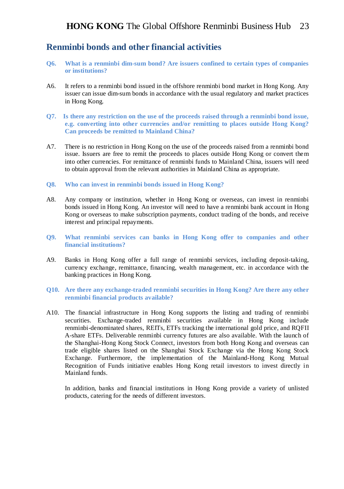#### **Renminbi bonds and other financial activities**

- **Q6. What is a renminbi dim-sum bond? Are issuers confined to certain types of companies or institutions?**
- A6. It refers to a renminbi bond issued in the offshore renminbi bond market in Hong Kong. Any issuer can issue dim-sum bonds in accordance with the usual regulatory and market practices in Hong Kong.
- **Q7. Is there any restriction on the use of the proceeds raised through a renminbi bond issue, e.g. converting into other currencies and/or remitting to places outside Hong Kong? Can proceeds be remitted to Mainland China?**
- A7. There is no restriction in Hong Kong on the use of the proceeds raised from a renminbi bond issue. Issuers are free to remit the proceeds to places outside Hong Kong or convert them into other currencies. For remittance of renminbi funds to Mainland China, issuers will need to obtain approval from the relevant authorities in Mainland China as appropriate.
- **Q8. Who can invest in renminbi bonds issued in Hong Kong?**
- A8. Any company or institution, whether in Hong Kong or overseas, can invest in renminbi bonds issued in Hong Kong. An investor will need to have a renminbi bank account in Hong Kong or overseas to make subscription payments, conduct trading of the bonds, and receive interest and principal repayments.
- **Q9. What renminbi services can banks in Hong Kong offer to companies and other financial institutions?**
- A9. Banks in Hong Kong offer a full range of renminbi services, including deposit-taking, currency exchange, remittance, financing, wealth management, etc. in accordance with the banking practices in Hong Kong.
- **Q10. Are there any exchange-traded renminbi securities in Hong Kong? Are there any other renminbi financial products available?**
- A10. The financial infrastructure in Hong Kong supports the listing and trading of renminbi securities. Exchange-traded renminbi securities available in Hong Kong include renminbi-denominated shares, REITs, ETFs tracking the international gold price, and RQFII A-share ETFs. Deliverable renminbi currency futures are also available. With the launch of the Shanghai-Hong Kong Stock Connect, investors from both Hong Kong and overseas can trade eligible shares listed on the Shanghai Stock Exchange via the Hong Kong Stock Exchange. Furthermore, the implementation of the Mainland-Hong Kong Mutual Recognition of Funds initiative enables Hong Kong retail investors to invest directly in Mainland funds.

In addition, banks and financial institutions in Hong Kong provide a variety of unlisted products, catering for the needs of different investors.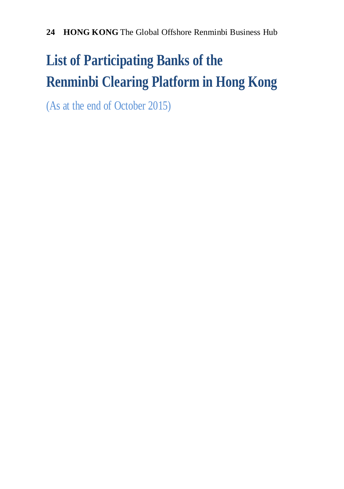## **List of Participating Banks of the Renminbi Clearing Platform in Hong Kong**

(As at the end of October 2015)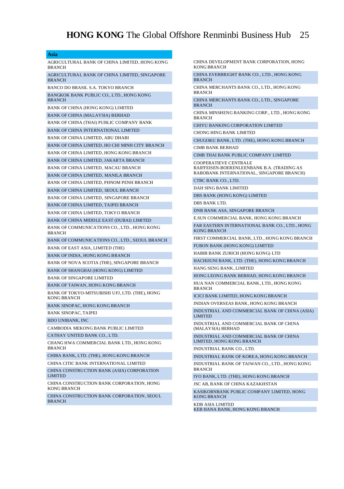#### **Asia**

AGRICULTURAL BANK OF CHINA LIMITED, HONG KONG BRANCH AGRICULTURAL BANK OF CHINA LIMITED, SINGAPORE **BRANCH** BANCO DO BRASIL S.A. TOKYO BRANCH BANGKOK BANK PUBLIC CO., LTD., HONG KONG **BRANCH** BANK OF CHINA (HONG KONG) LIMITED BANK OF CHINA (MALAYSIA) BERHAD BANK OF CHINA (THAI) PUBLIC COMPANY BANK BANK OF CHINA INTERNATIONAL LIMITED BANK OF CHINA LIMITED, ABU DHABI BANK OF CHINA LIMITED, HO CHI MINH CITY BRANCH BANK OF CHINA LIMITED, HONG KONG BRANCH BANK OF CHINA LIMITED, JAKARTA BRANCH BANK OF CHINA LIMITED, MACAU BRANCH BANK OF CHINA LIMITED, MANILA BRANCH BANK OF CHINA LIMITED, PHNOM PENH BRANCH BANK OF CHINA LIMITED, SEOUL BRANCH BANK OF CHINA LIMITED, SINGAPORE BRANCH BANK OF CHINA LIMITED, TAIPEI BRANCH BANK OF CHINA LIMITED, TOKYO BRANCH BANK OF CHINA MIDDLE EAST (DUBAI) LIMITED BANK OF COMMUNICATIONS CO., LTD., HONG KONG BRANCH BANK OF COMMUNICATIONS CO., LTD., SEOUL BRANCH BANK OF EAST ASIA, LIMITED (THE) BANK OF INDIA, HONG KONG BRANCH BANK OF NOVA SCOTIA (THE), SINGAPORE BRANCH BANK OF SHANGHAI (HONG KONG) LIMITED BANK OF SINGAPORE LIMITED BANK OF TAIWAN, HONG KONG BRANCH BANK OF TOKYO-MITSUBISHI UFJ, LTD. (THE), HONG KONG BRANCH BANK SINOPAC, HONG KONG BRANCH BANK SINOPAC, TAIPEI BDO UNIBANK, INC CAMBODIA MEKONG BANK PUBLIC LIMITED CATHAY UNITED BANK CO., LTD. CHANG HWA COMMERCIAL BANK LTD., HONG KONG BRANCH CHIBA BANK, LTD. (THE), HONG KONG BRANCH CHINA CITIC BANK INTERNATIONAL LIMITED CHINA CONSTRUCTION BANK (ASIA) CORPORATION LIMITED CHINA CONSTRUCTION BANK CORPORATION, HONG KONG BRANCH CHINA CONSTRUCTION BANK CORPORATION, SEOUL BRANCH

CHINA DEVELOPMENT BANK CORPORATION, HONG KONG BRANCH

CHINA EVERBRIGHT BANK CO., LTD., HONG KONG BRANCH

CHINA MERCHANTS BANK CO., LTD., HONG KONG BRANCH

CHINA MERCHANTS BANK CO., LTD., SINGAPORE **BRANCH** 

CHINA MINSHENG BANKING CORP., LTD., HONG KONG **BRANCH** 

CHIYU BANKING CORPORATION LIMITED

CHONG HING BANK LIMITED

CHUGOKU BANK, LTD. (THE), HONG KONG BRANCH

CIMB BANK BERHAD

CIMB THAI BANK PUBLIC COMPANY LIMITED

COOPERATIEVE CENTRALE RAIFFEISEN-BOERENLEENBANK B.A. (TRADING AS RABOBANK INTERNATIONAL, SINGAPORE BRANCH)

CTBC BANK CO., LTD.

DAH SING BANK LIMITED

DBS BANK (HONG KONG) LIMITED

DBS BANK LTD.

DNB BANK ASA, SINGAPORE BRANCH

E.SUN COMMERCIAL BANK, HONG KONG BRANCH

FAR EASTERN INTERNATIONAL BANK CO., LTD., HONG KONG BRANCH

FIRST COMMERCIAL BANK, LTD., HONG KONG BRANCH FUBON BANK (HONG KONG) LIMITED

HABIB BANK ZURICH (HONG KONG) LTD

HACHIJUNI BANK, LTD. (THE), HONG KONG BRANCH

HANG SENG BANK, LIMITED

HONG LEONG BANK BERHAD, HONG KONG BRANCH HUA NAN COMMERCIAL BANK, LTD., HONG KONG BRANCH

ICICI BANK LIMITED, HONG KONG BRANCH

INDIAN OVERSEAS BANK, HONG KONG BRANCH

INDUSTRIAL AND COMMERCIAL BANK OF CHINA (ASIA) LIMITED

INDUSTRIAL AND COMMERCIAL BANK OF CHINA (MALAYSIA) BERHAD

INDUSTRIAL AND COMMERCIAL BANK OF CHINA LIMITED, HONG KONG BRANCH

INDUSTRIAL BANK CO., LTD.

INDUSTRIAL BANK OF KOREA, HONG KONG BRANCH INDUSTRIAL BANK OF TAIWAN CO., LTD., HONG KONG

BRANCH

IYO BANK, LTD. (THE), HONG KONG BRANCH

JSC AB, BANK OF CHINA KAZAKHSTAN

KASIKORNBANK PUBLIC COMPANY LIMITED, HONG KONG BRANCH

KDB ASIA LIMITED KEB HANA BANK, HONG KONG BRANCH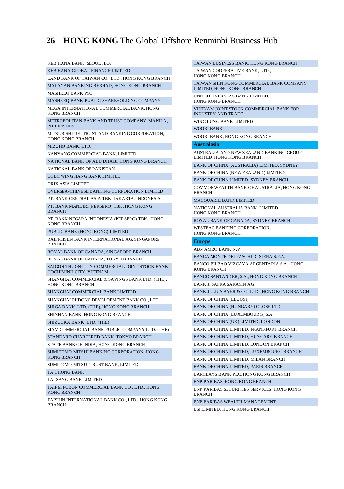KEB HANA BANK, SEOUL H.O. KEB HANA GLOBAL FINANCE LIMITED LAND BANK OF TAIWAN CO., LTD., HONG KONG BRANCH MALAYAN BANKING BERHAD, HONG KONG BRANCH MASHREQ BANK PSC MASHREQ BANK-PUBLIC SHAREHOLDING COMPANY MEGA INTERNATIONAL COMMERCIAL BANK, HONG KONG BRANCH METROPOLITAN BANK AND TRUST COMPANY, MANILA, PHILIPPINES MITSUBISHI UFJ TRUST AND BANKING CORPORATION, HONG KONG BRANCH MIZUHO BANK, LTD. NANYANG COMMERCIAL BANK, LIMITED NATIONAL BANK OF ABU DHABI, HONG KONG BRANCH NATIONAL BANK OF PAKISTAN OCBC WING HANG BANK LIMITED ORIX ASIA LIMITED OVERSEA-CHINESE BANKING CORPORATION LIMITED PT. BANK CENTRAL ASIA TBK, JAKARTA, INDONESIA PT. BANK MANDIRI (PERSERO) TBK, HONG KONG BRANCH PT. BANK NEGARA INDONESIA (PERSERO) TBK., HONG KONG BRANCH PUBLIC BANK (HONG KONG) LIMITED RAIFFEISEN BANK INTERNATIONAL AG, SINGAPORE BRANCH ROYAL BANK OF CANADA, SINGAPORE BRANCH ROYAL BANK OF CANADA, TOKYO BRANCH

SAIGON THUONG TIN COMMERCIAL JOINT STOCK BANK HOCHIMINH CITY, VIETNAM

SHANGHAI COMMERCIAL & SAVINGS BANK LTD. (THE), HONG KONG BRANCH

SHANGHAI COMMERCIAL BANK LIMITED

SHANGHAI PUDONG DEVELOPMENT BANK CO., LTD.

SHIGA BANK, LTD. (THE), HONG KONG BRANCH

SHINHAN BANK, HONG KONG BRANCH

SHIZUOKA BANK, LTD. (THE)

SIAM COMMERCIAL BANK PUBLIC COMPANY LTD. (THE)

STANDARD CHARTERED BANK, TOKYO BRANCH

STATE BANK OF INDIA, HONG KONG BRANCH

SUMITOMO MITSUI BANKING CORPORATION, HONG KONG BRANCH

SUMITOMO MITSUI TRUST BANK, LIMITED

TA CHONG BANK

TAI SANG BANK LIMITED

TAIPEI FUBON COMMERCIAL BANK CO., LTD., HONG. KONG BRANCH

TAISHIN INTERNATIONAL BANK CO., LTD,. HONG KONG **BRANCH** 

TAIWAN BUSINESS BANK, HONG KONG BRANCH

TAIWAN COOPERATIVE BANK, LTD., HONG KONG BRANCH

TAIWAN SHIN KONG COMMERCIAL BANK COMPANY LIMITED, HONG KONG BRANCH

UNITED OVERSEAS BANK LIMITED, HONG KONG BRANCH

VIETNAM JOINT STOCK COMMERCIAL BANK FOR INDUSTRY AND TRADE

WING LUNG BANK LIMITED

WOORI BANK

WOORI BANK, HONG KONG BRANCH

#### **Australasia**

AUSTRALIA AND NEW ZEALAND BANKING GROUP LIMITED, HONG KONG BRANCH

BANK OF CHINA (AUSTRALIA) LIMITED, SYDNEY

BANK OF CHINA (NEW ZEALAND) LIMITED

BANK OF CHINA LIMITED, SYDNEY BRANCH

COMMONWEALTH BANK OF AUSTRALIA, HONG KONG **BRANCH** 

MACQUARIE BANK LIMITED

NATIONAL AUSTRALIA BANK, LIMITED, HONG KONG BRANCH

ROYAL BANK OF CANADA, SYDNEY BRANCH

WESTPAC BANKING CORPORATION, HONG KONG BRANCH

#### **Europe**

ABN AMRO BANK N.V.

BANCA MONTE DEI PASCHI DI SIENA S.P.A.

BANCO BILBAO VIZCAYA ARGENTARIA S.A., HONG KONG BRANCH

BANCO SANTANDER, S.A., HONG KONG BRANCH

BANK J. SAFRA SARASIN AG BANK JULIUS BAER & CO. LTD., HONG KONG BRANCH

BANK OF CHINA (ELUOSI)

BANK OF CHINA (HUNGARY) CLOSE LTD.

BANK OF CHINA (LUXEMBOURG) S.A.

BANK OF CHINA (UK) LIMITED, LONDON

BANK OF CHINA LIMITED, FRANKFURT BRANCH

BANK OF CHINA LIMITED, HUNGARY BRANCH

BANK OF CHINA LIMITED, LONDON BRANCH

BANK OF CHINA LIMITED, LUXEMBOURG BRANCH

BANK OF CHINA LIMITED, MILAN BRANCH

BANK OF CHINA LIMITED, PARIS BRANCH

BARCLAYS BANK PLC, HONG KONG BRANCH

BNP PARIBAS, HONG KONG BRANCH

BNP PARIBAS SECURITIES SERVICES, HONG KONG BRANCH

BNP PARIBAS WEALTH MANAGEMENT

BSI LIMITED, HONG KONG BRANCH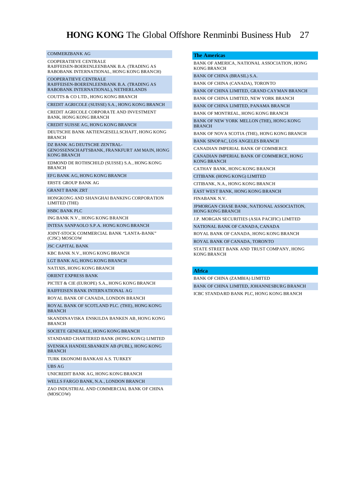#### COMMERZBANK AG

COOPERATIEVE CENTRALE RAIFFEISEN-BOERENLEENBANK B.A. (TRADING AS RABOBANK INTERNATIONAL, HONG KONG BRANCH)

COOPERATIEVE CENTRALE RAIFFEISEN-BOERENLEENBANK B.A. (TRADING AS RABOBANK INTERNATIONAL), NETHERLANDS

COUTTS & CO LTD., HONG KONG BRANCH

CREDIT AGRICOLE (SUISSE) S.A., HONG KONG BRANCH

CREDIT AGRICOLE CORPORATE AND INVESTMENT BANK, HONG KONG BRANCH

CREDIT SUISSE AG, HONG KONG BRANCH

DEUTSCHE BANK AKTIENGESELLSCHAFT, HONG KONG BRANCH

DZ BANK AG DEUTSCHE ZENTRAL-GENOSSENSCHAFTSBANK, FRANKFURT AM MAIN, HONG KONG BRANCH

EDMOND DE ROTHSCHILD (SUISSE) S.A., HONG KONG BRANCH

EFG BANK AG, HONG KONG BRANCH

ERSTE GROUP BANK AG

GRANIT BANK ZRT

HONGKONG AND SHANGHAI BANKING CORPORATION LIMITED (THE)

HSBC BANK PLC

ING BANK N.V., HONG KONG BRANCH

INTESA SANPAOLO S.P.A. HONG KONG BRANCH

JOINT-STOCK COMMERCIAL BANK "LANTA-BANK" (CJSC) MOSCOW

JSC CAPITAL BANK

KBC BANK N.V., HONG KONG BRANCH

LGT BANK AG, HONG KONG BRANCH

NATIXIS, HONG KONG BRANCH

ORIENT EXPRESS BANK

PICTET & CIE (EUROPE) S.A., HONG KONG BRANCH

RAIFFEISEN BANK INTERNATIONAL AG

ROYAL BANK OF CANADA, LONDON BRANCH

ROYAL BANK OF SCOTLAND PLC. (THE), HONG KONG **BRANCH** 

SKANDINAVISKA ENSKILDA BANKEN AB, HONG KONG **BRANCH** 

SOCIETE GENERALE, HONG KONG BRANCH

STANDARD CHARTERED BANK (HONG KONG) LIMITED SVENSKA HANDELSBANKEN AB (PUBL), HONG KONG BRANCH

TURK EKONOMI BANKASI A.S. TURKEY UBS AG

UNICREDIT BANK AG, HONG KONG BRANCH

WELLS FARGO BANK, N.A., LONDON BRANCH

ZAO INDUSTRIAL AND COMMERCIAL BANK OF CHINA (MOSCOW)

#### **The Americas**

BANK OF AMERICA, NATIONAL ASSOCIATION, HONG KONG BRANCH

BANK OF CHINA (BRASIL) S.A. BANK OF CHINA (CANADA), TORONTO

BANK OF CHINA LIMITED, GRAND CAYMAN BRANCH BANK OF CHINA LIMITED, NEW YORK BRANCH

BANK OF CHINA LIMITED, PANAMA BRANCH

BANK OF MONTREAL, HONG KONG BRANCH BANK OF NEW YORK MELLON (THE), HONG KONG **BRANCH** 

BANK OF NOVA SCOTIA (THE), HONG KONG BRANCH BANK SINOPAC, LOS ANGELES BRANCH

CANADIAN IMPERIAL BANK OF COMMERCE

CANADIAN IMPERIAL BANK OF COMMERCE, HONG KONG BRANCH

CATHAY BANK, HONG KONG BRANCH

CITIBANK (HONG KONG) LIMITED

CITIBANK, N.A., HONG KONG BRANCH

EAST WEST BANK, HONG KONG BRANCH

FINABANK N.V.

JPMORGAN CHASE BANK, NATIONAL ASSOCIATION, HONG KONG BRANCH

J.P. MORGAN SECURITIES (ASIA PACIFIC) LIMITED

NATIONAL BANK OF CANADA, CANADA

ROYAL BANK OF CANADA, HONG KONG BRANCH

ROYAL BANK OF CANADA, TORONTO

STATE STREET BANK AND TRUST COMPANY, HONG KONG BRANCH

#### **Africa**

BANK OF CHINA (ZAMBIA) LIMITED

BANK OF CHINA LIMITED, JOHANNESBURG BRANCH ICBC STANDARD BANK PLC, HONG KONG BRANCH